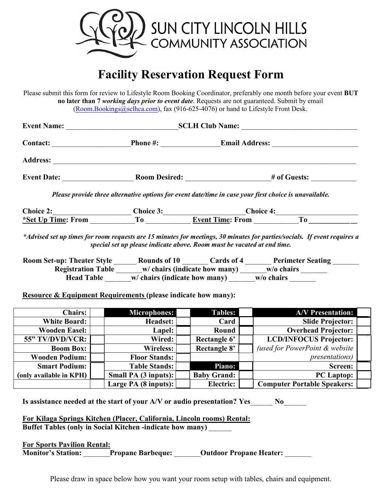

## **Facility Reservation Request Form**

Please submit this form for review to Lifestyle Room Booking Coordinator, preferably one month before your event **BUT no later than 7** *working days prior to event date*. Requests are not guaranteed. Submit by email ([Room.Bookings@sclhca.com](mailto:shelvie.smith@sclhca.com)), fax (916-625-4076) or hand to Lifestyle Front Desk.

|                         | Please provide three alternative options for event date/time in case your first choice is unavailable.                                                                                                                                                                                                 |                    |                                                                                       |  |
|-------------------------|--------------------------------------------------------------------------------------------------------------------------------------------------------------------------------------------------------------------------------------------------------------------------------------------------------|--------------------|---------------------------------------------------------------------------------------|--|
|                         |                                                                                                                                                                                                                                                                                                        |                    |                                                                                       |  |
|                         | Choice 2: Choice 3: Choice 3: Choice 4: Choice 4: To Choice 4: To Choice 4: To Choice 4: To Choice 4: To Choice 4: To Choice 4: To Choice 4: To Choice 4: To Choice 4: To Choice 4: To Choice 4: To Choice 4: To Choice 4: To                                                                          |                    |                                                                                       |  |
|                         | special set up please indicate above. Room must be vacated at end time.<br>Registration Table ______w/ chairs (indicate how many) _____w/o chairs ______<br>Head Table ______w/ chairs (indicate how many) _____w/o chairs<br><b>Resource &amp; Equipment Requirements (please indicate how many):</b> |                    | Room Set-up: Theater Style Mounds of 10 March 20 ards of 4 March 20 Perimeter Seating |  |
| <b>Chairs:</b>          | <b>Microphones:</b>                                                                                                                                                                                                                                                                                    | <b>Tables:</b>     | <b>A/V</b> Presentation:                                                              |  |
| <b>White Board:</b>     | Headset:                                                                                                                                                                                                                                                                                               | <b>Card</b>        | <b>Slide Projector:</b>                                                               |  |
| <b>Wooden Easel:</b>    | Lapel:                                                                                                                                                                                                                                                                                                 | Round              | <b>Overhead Projector:</b>                                                            |  |
| 55" TV/DVD/VCR:         | Wired:                                                                                                                                                                                                                                                                                                 | Rectangle 6'       | <b>LCD/INFOCUS Projector:</b>                                                         |  |
| <b>Boom Box:</b>        | <b>Wireless:</b>                                                                                                                                                                                                                                                                                       | Rectangle 8'       | (used for PowerPoint & website                                                        |  |
| <b>Wooden Podium:</b>   | <b>Floor Stands:</b>                                                                                                                                                                                                                                                                                   |                    | <i>presentations</i> )                                                                |  |
| <b>Smart Podium:</b>    | <b>Table Stands:</b>                                                                                                                                                                                                                                                                                   | Piano:             | Screen:                                                                               |  |
| (only available in KPH) | <b>Small PA (3 inputs):</b>                                                                                                                                                                                                                                                                            | <b>Baby Grand:</b> | PC Laptop:                                                                            |  |

| Is assistance needed at the start of your A/V or audio presentation? Yes |  |  |  |
|--------------------------------------------------------------------------|--|--|--|
|                                                                          |  |  |  |

**For Kilaga Springs Kitchen (Placer, California, Lincoln rooms) Rental: Buffet Tables (only in Social Kitchen -indicate how many)** \_\_\_\_\_\_

**For Sports Pavilion Rental: Monitor's Station:** \_\_\_\_\_\_\_**Propane Barbeque:** \_\_\_\_\_\_\_**Outdoor Propane Heater:** \_\_\_\_\_\_\_

Please draw in space below how you want your room setup with tables, chairs and equipment.

Large PA (8 inputs): **Electric: Computer Portable Speakers:**